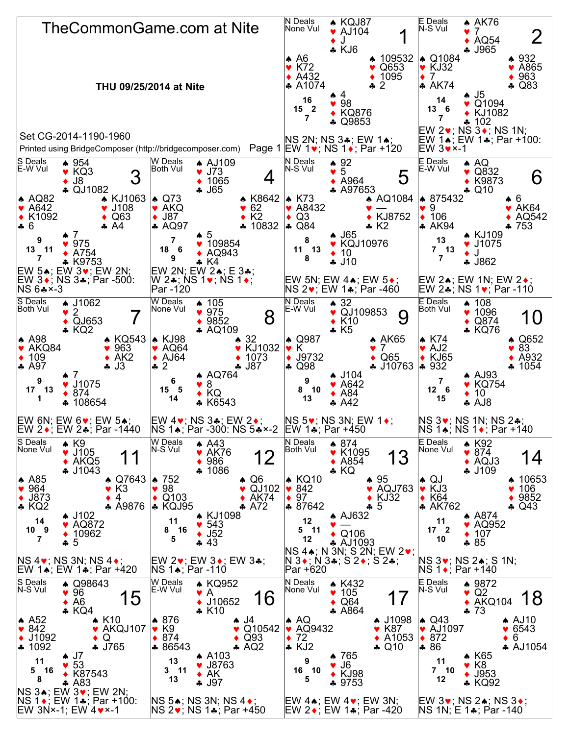